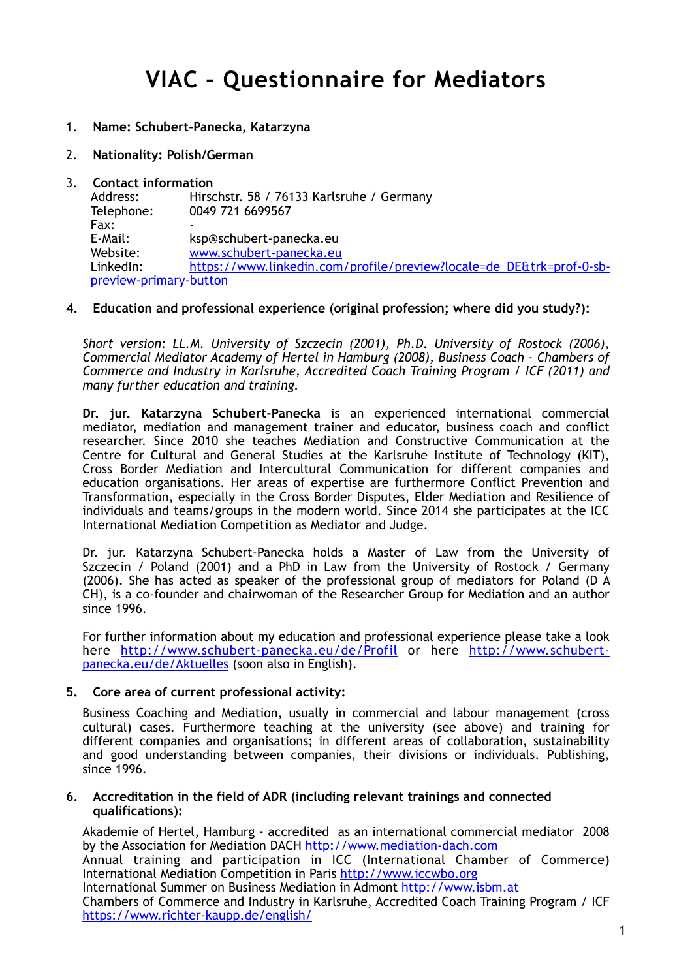- 1. **Name: Schubert-Panecka, Katarzyna**
- 2. **Nationality: Polish/German**
- 3. **Contact information** Address: Hirschstr. 58 / 76133 Karlsruhe / Germany Telephone: 0049 721 6699567 Fax: E-Mail: ksp@schubert-panecka.eu Website: [www.schubert-panecka.eu](http://www.schubert-panecka.eu) [LinkedIn: https://www.linkedin.com/profile/preview?locale=de\\_DE&trk=prof-0-sb](https://www.linkedin.com/profile/preview?locale=de_DE&trk=prof-0-sb-preview-primary-button)preview-primary-button

### **4. Education and professional experience (original profession; where did you study?):**

*Short version: LL.M. University of Szczecin (2001), Ph.D. University of Rostock (2006), Commercial Mediator Academy of Hertel in Hamburg (2008), Business Coach - Chambers of Commerce and Industry in Karlsruhe, Accredited Coach Training Program / ICF (2011) and many further education and training.* 

**Dr. jur. Katarzyna Schubert-Panecka** is an experienced international commercial mediator, mediation and management trainer and educator, business coach and conflict researcher. Since 2010 she teaches Mediation and Constructive Communication at the Centre for Cultural and General Studies at the Karlsruhe Institute of Technology (KIT), Cross Border Mediation and Intercultural Communication for different companies and education organisations. Her areas of expertise are furthermore Conflict Prevention and Transformation, especially in the Cross Border Disputes, Elder Mediation and Resilience of individuals and teams/groups in the modern world. Since 2014 she participates at the ICC International Mediation Competition as Mediator and Judge.

Dr. jur. Katarzyna Schubert-Panecka holds a Master of Law from the University of Szczecin / Poland (2001) and a PhD in Law from the University of Rostock / Germany (2006). She has acted as speaker of the professional group of mediators for Poland (D A CH), is a co-founder and chairwoman of the Researcher Group for Mediation and an author since 1996.

For further information about my education and professional experience please take a look [here h](http://www.schubert-panecka.eu/de/Aktuelles)[ttp://www.schubert-panecka.eu/de/Profil](http://www.schubert-panecka.eu/de/Profil) [or here http://www.schubert](http://www.schubert-panecka.eu/de/Aktuelles)panecka.eu/de/Aktuelles (soon also in English).

#### **5. Core area of current professional activity:**

Business Coaching and Mediation, usually in commercial and labour management (cross cultural) cases. Furthermore teaching at the university (see above) and training for different companies and organisations; in different areas of collaboration, sustainability and good understanding between companies, their divisions or individuals. Publishing, since 1996.

#### **6. Accreditation in the field of ADR (including relevant trainings and connected qualifications):**

Akademie of Hertel, Hamburg - accredited as an international commercial mediator 2008 by the Association for Mediation DACH <http://www.mediation-dach.com> Annual training and participation in ICC (International Chamber of Commerce) International Mediation Competition in Paris <http://www.iccwbo.org> International Summer on Business Mediation in Admont<http://www.isbm.at> Chambers of Commerce and Industry in Karlsruhe, Accredited Coach Training Program / ICF

<https://www.richter-kaupp.de/english/>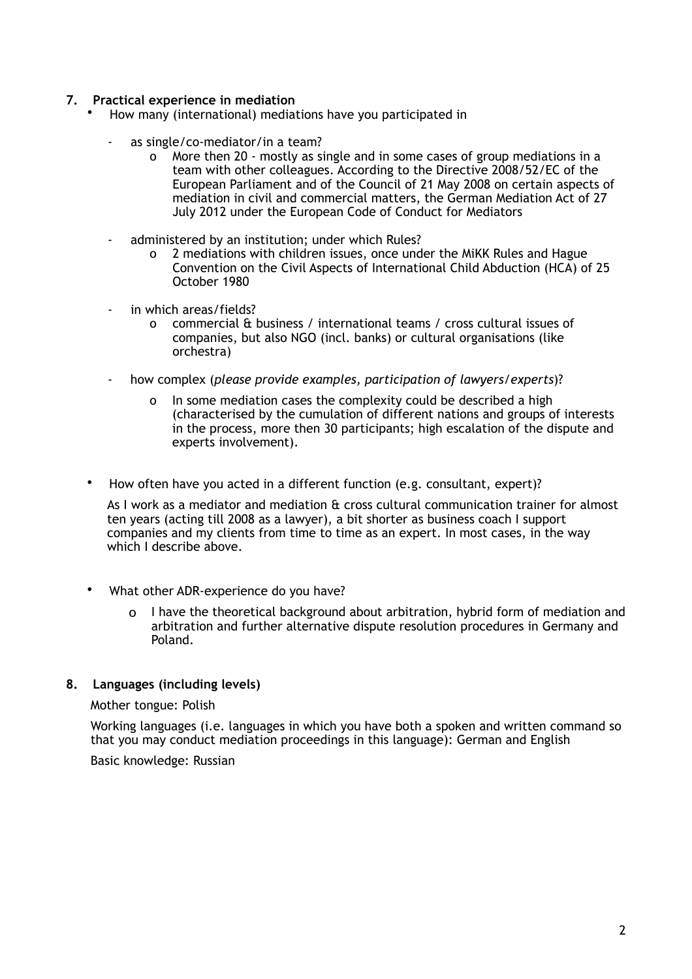### **7. Practical experience in mediation**

- How many (international) mediations have you participated in
	- as single/co-mediator/in a team?
		- o More then 20 mostly as single and in some cases of group mediations in a team with other colleagues. According to the Directive 2008/52/EC of the European Parliament and of the Council of 21 May 2008 on certain aspects of mediation in civil and commercial matters, the German Mediation Act of 27 July 2012 under the European Code of Conduct for Mediators
	- administered by an institution; under which Rules?
		- o 2 mediations with children issues, once under the MiKK Rules and Hague Convention on the Civil Aspects of International Child Abduction (HCA) of 25 October 1980
	- in which areas/fields?
		- o commercial & business / international teams / cross cultural issues of companies, but also NGO (incl. banks) or cultural organisations (like orchestra)
	- how complex (*please provide examples, participation of lawyers/experts*)?
		- o In some mediation cases the complexity could be described a high (characterised by the cumulation of different nations and groups of interests in the process, more then 30 participants; high escalation of the dispute and experts involvement).
	- How often have you acted in a different function (e.g. consultant, expert)?

 As I work as a mediator and mediation & cross cultural communication trainer for almost ten years (acting till 2008 as a lawyer), a bit shorter as business coach I support companies and my clients from time to time as an expert. In most cases, in the way which I describe above.

- What other ADR-experience do you have?
	- o I have the theoretical background about arbitration, hybrid form of mediation and arbitration and further alternative dispute resolution procedures in Germany and Poland.

### **8. Languages (including levels)**

#### Mother tongue: Polish

Working languages (i.e. languages in which you have both a spoken and written command so that you may conduct mediation proceedings in this language): German and English

Basic knowledge: Russian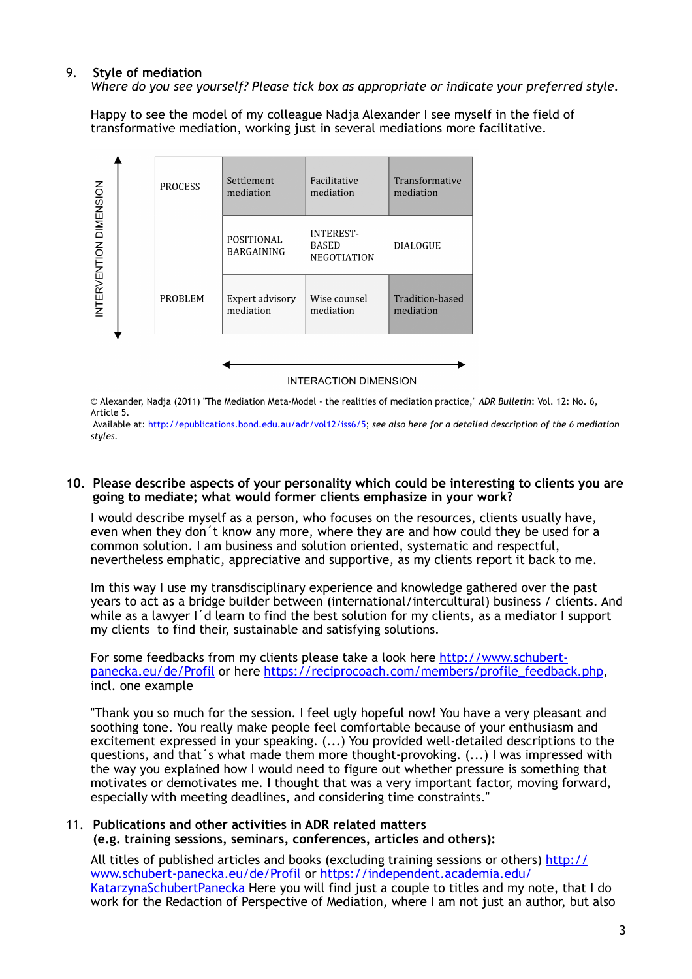### 9. **Style of mediation**

*Where do you see yourself? Please tick box as appropriate or indicate your preferred style.*

Happy to see the model of my colleague Nadja Alexander I see myself in the field of transformative mediation, working just in several mediations more facilitative.



*©* Alexander, Nadja (2011) "The Mediation Meta-Model - the realities of mediation practice," *ADR Bulletin*: Vol. 12: No. 6, Article 5.

 Available at: [http://epublications.bond.edu.au/adr/vol12/iss6/5;](http://epublications.bond.edu.au/adr/vol12/iss6/5) *see also here for a detailed description of the 6 mediation styles.* 

#### **10. Please describe aspects of your personality which could be interesting to clients you are going to mediate; what would former clients emphasize in your work?**

I would describe myself as a person, who focuses on the resources, clients usually have, even when they don´t know any more, where they are and how could they be used for a common solution. I am business and solution oriented, systematic and respectful, nevertheless emphatic, appreciative and supportive, as my clients report it back to me.

Im this way I use my transdisciplinary experience and knowledge gathered over the past years to act as a bridge builder between (international/intercultural) business / clients. And while as a lawyer I'd learn to find the best solution for my clients, as a mediator I support my clients to find their, sustainable and satisfying solutions.

For some feedbacks from my clients please take a look here http://www.schubert[panecka.eu/de/Profil or here https://reciprocoach.com/members/profile\\_feedba](http://www.schubert-panecka.eu/de/Profil)[ck.php,](https://reciprocoach.com/members/profile_feedback.php) incl. one example

"Thank you so much for the session. I feel ugly hopeful now! You have a very pleasant and soothing tone. You really make people feel comfortable because of your enthusiasm and excitement expressed in your speaking. (...) You provided well-detailed descriptions to the questions, and that´s what made them more thought-provoking. (...) I was impressed with the way you explained how I would need to figure out whether pressure is something that motivates or demotivates me. I thought that was a very important factor, moving forward, especially with meeting deadlines, and considering time constraints."

### 11. **Publications and other activities in ADR related matters**

**(e.g. training sessions, seminars, conferences, articles and others):**

[All titles of published articles and books \(excluding training sessions or others\) http://](http://www.schubert-panecka.eu/de/Profil) www.schubert-panecka.eu/de/Profil or https://independent.academia.edu/ [KatarzynaSchubertPanecka Here you will find just a couple to titles and my n](https://independent.academia.edu/KatarzynaSchubertPanecka)ote, that I do work for the Redaction of Perspective of Mediation, where I am not just an author, but also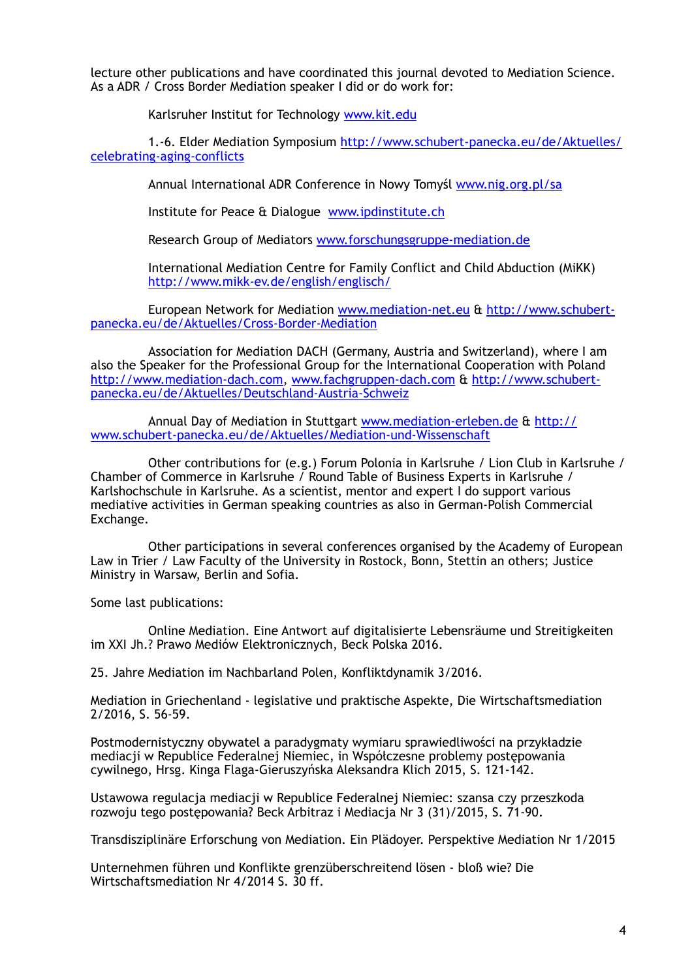lecture other publications and have coordinated this journal devoted to Mediation Science. As a ADR / Cross Border Mediation speaker I did or do work for:

Karlsruher Institut for Technology [www.kit.edu](http://www.kit.edu)

 [1.-6. Elder Mediation Symposium http://www.schubert-panecka.eu/de/Aktuelles/](http://www.schubert-panecka.eu/de/Aktuelles/celebrating-aging-conflicts) celebrating-aging-conflicts

Annual International ADR Conference in Nowy Tomyśl [www.nig.org.pl/sa](http://www.nig.org.pl/sa)

Institute for Peace & Dialogue [www.ipdinstitute.ch](http://www.ipdinstitute.ch)

Research Group of Mediators [www.forschungsgruppe-mediation.de](http://www.forschungsgruppe-mediation.de) 

 International Mediation Centre for Family Conflict and Child Abduction (MiKK) <http://www.mikk-ev.de/english/englisch/>

 [European Network for Mediation w](http://www.schubert-panecka.eu/de/Aktuelles/Cross-Border-Mediation)[ww.mediation-net.eu](http://www.mediation-net.eu) [& http://www.schubert](http://www.schubert-panecka.eu/de/Aktuelles/Cross-Border-Mediation)panecka.eu/de/Aktuelles/Cross-Border-Mediation

 Association for Mediation DACH (Germany, Austria and Switzerland), where I am also the Speaker for the Professional Group for the International Cooperation with Poland [http://www.mediation-dach.co](http://www.mediation-dach.com)[m, w](http://www.schubert-panecka.eu/de/Aktuelles/Deutschland-Austria-Schweiz)[ww.fachgruppen-dach.co](http://www.fachgruppen-dach.com)[m & http://www.schubert](http://www.schubert-panecka.eu/de/Aktuelles/Deutschland-Austria-Schweiz)panecka.eu/de/Aktuelles/Deutschland-Austria-Schweiz

 [Annual Day of Mediation in Stuttgart w](http://www.schubert-panecka.eu/de/Aktuelles/Mediation-und-Wissenschaft)[ww.mediation-erleben.d](http://www.mediation-erleben.de)[e & http://](http://www.schubert-panecka.eu/de/Aktuelles/Mediation-und-Wissenschaft) www.schubert-panecka.eu/de/Aktuelles/Mediation-und-Wissenschaft

 Other contributions for (e.g.) Forum Polonia in Karlsruhe / Lion Club in Karlsruhe / Chamber of Commerce in Karlsruhe / Round Table of Business Experts in Karlsruhe / Karlshochschule in Karlsruhe. As a scientist, mentor and expert I do support various mediative activities in German speaking countries as also in German-Polish Commercial Exchange.

 Other participations in several conferences organised by the Academy of European Law in Trier / Law Faculty of the University in Rostock, Bonn, Stettin an others; Justice Ministry in Warsaw, Berlin and Sofia.

Some last publications:

 Online Mediation. Eine Antwort auf digitalisierte Lebensräume und Streitigkeiten im XXI Jh.? Prawo Mediów Elektronicznych, Beck Polska 2016.

25. Jahre Mediation im Nachbarland Polen, Konfliktdynamik 3/2016.

Mediation in Griechenland - legislative und praktische Aspekte, Die Wirtschaftsmediation 2/2016, S. 56-59.

Postmodernistyczny obywatel a paradygmaty wymiaru sprawiedliwości na przykładzie mediacji w Republice Federalnej Niemiec, in Współczesne problemy postępowania cywilnego, Hrsg. Kinga Flaga-Gieruszyńska Aleksandra Klich 2015, S. 121-142.

Ustawowa regulacja mediacji w Republice Federalnej Niemiec: szansa czy przeszkoda rozwoju tego postępowania? Beck Arbitraz i Mediacja Nr 3 (31)/2015, S. 71-90.

Transdisziplinäre Erforschung von Mediation. Ein Plädoyer. Perspektive Mediation Nr 1/2015

Unternehmen führen und Konflikte grenzüberschreitend lösen - bloß wie? Die Wirtschaftsmediation Nr 4/2014 S. 30 ff.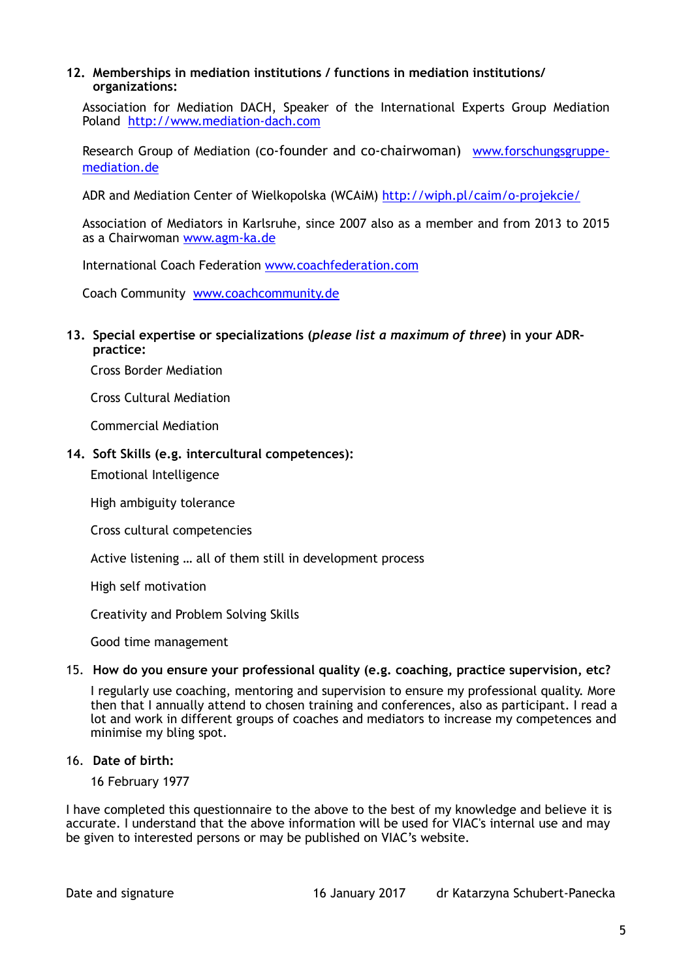### **12. Memberships in mediation institutions / functions in mediation institutions/ organizations:**

Association for Mediation DACH, Speaker of the International Experts Group Mediation Poland <http://www.mediation-dach.com>

[Research Group of Mediation \(co-founder and co-chairwoman\) www.forschungsgruppe](http://www.forschungsgruppe-mediation.de)mediation.de

ADR and Mediation Center of Wielkopolska (WCAiM) <http://wiph.pl/caim/o-projekcie/>

Association of Mediators in Karlsruhe, since 2007 also as a member and from 2013 to 2015 as a Chairwoman [www.agm-ka.de](http://www.agm-ka.de)

International Coach Federation [www.coachfederation.com](http://www.coachfederation.com)

Coach Community [www.coachcommunity.de](http://www.coachcommunity.de) 

### **13. Special expertise or specializations (***please list a maximum of three***) in your ADRpractice:**

Cross Border Mediation

Cross Cultural Mediation

Commercial Mediation

### **14. Soft Skills (e.g. intercultural competences):**

Emotional Intelligence

High ambiguity tolerance

Cross cultural competencies

Active listening … all of them still in development process

High self motivation

Creativity and Problem Solving Skills

Good time management

#### 15. **How do you ensure your professional quality (e.g. coaching, practice supervision, etc?**

I regularly use coaching, mentoring and supervision to ensure my professional quality. More then that I annually attend to chosen training and conferences, also as participant. I read a lot and work in different groups of coaches and mediators to increase my competences and minimise my bling spot.

### 16. **Date of birth:**

16 February 1977

I have completed this questionnaire to the above to the best of my knowledge and believe it is accurate. I understand that the above information will be used for VIAC's internal use and may be given to interested persons or may be published on VIAC's website.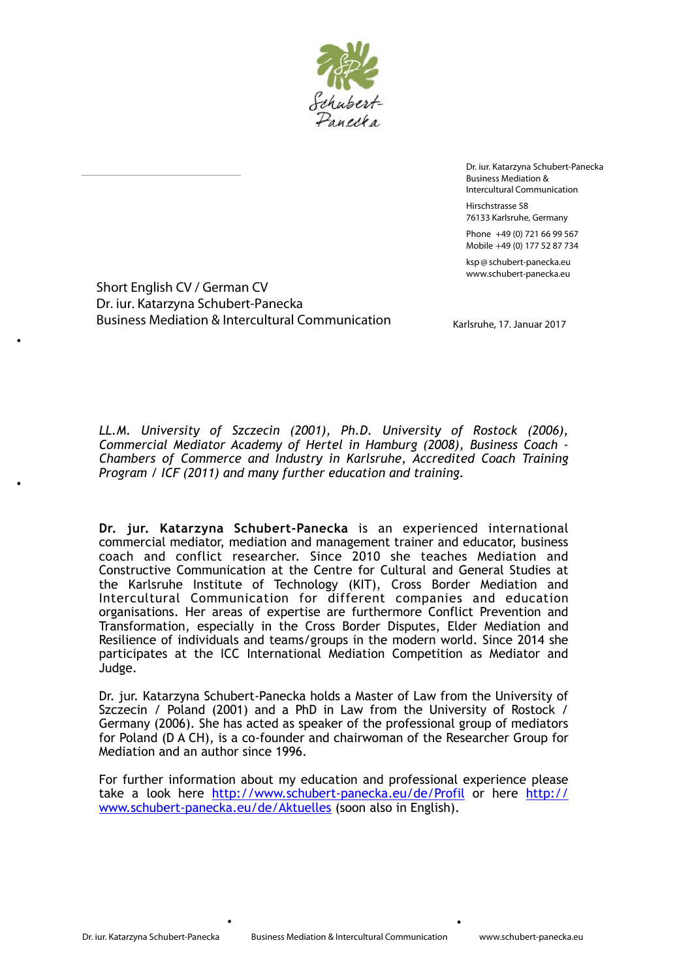

Dr. iur. Katarzyna Schubert-Panecka Business Mediation & Intercultural Communication Hirschstrasse 58 76133 Karlsruhe, Germany Phone +49 (0) 721 66 99 567 Mobile +49 (0) 177 52 87 734

ksp @schubert-panecka.eu www.schubert-panecka.eu

Short English CV / German CV Dr. iur. Katarzyna Schubert-Panecka Business Mediation & Intercultural Communication

·

·

Karlsruhe, 17. Januar 2017

*LL.M. University of Szczecin (2001), Ph.D. University of Rostock (2006), Commercial Mediator Academy of Hertel in Hamburg (2008), Business Coach - Chambers of Commerce and Industry in Karlsruhe, Accredited Coach Training Program / ICF (2011) and many further education and training.*

**Dr. jur. Katarzyna Schubert-Panecka** is an experienced international commercial mediator, mediation and management trainer and educator, business coach and conflict researcher. Since 2010 she teaches Mediation and Constructive Communication at the Centre for Cultural and General Studies at the Karlsruhe Institute of Technology (KIT), Cross Border Mediation and Intercultural Communication for different companies and education organisations. Her areas of expertise are furthermore Conflict Prevention and Transformation, especially in the Cross Border Disputes, Elder Mediation and Resilience of individuals and teams/groups in the modern world. Since 2014 she participates at the ICC International Mediation Competition as Mediator and Judge.

Dr. jur. Katarzyna Schubert-Panecka holds a Master of Law from the University of Szczecin / Poland (2001) and a PhD in Law from the University of Rostock / Germany (2006). She has acted as speaker of the professional group of mediators for Poland (D A CH), is a co-founder and chairwoman of the Researcher Group for Mediation and an author since 1996.

For further information about my education and professional experience please [take a look here](http://www.schubert-panecka.eu/de/Aktuelles) <http://www.schubert-panecka.eu/de/Profil> [or here http://](http://www.schubert-panecka.eu/de/Aktuelles) www.schubert-panecka.eu/de/Aktuelles (soon also in English).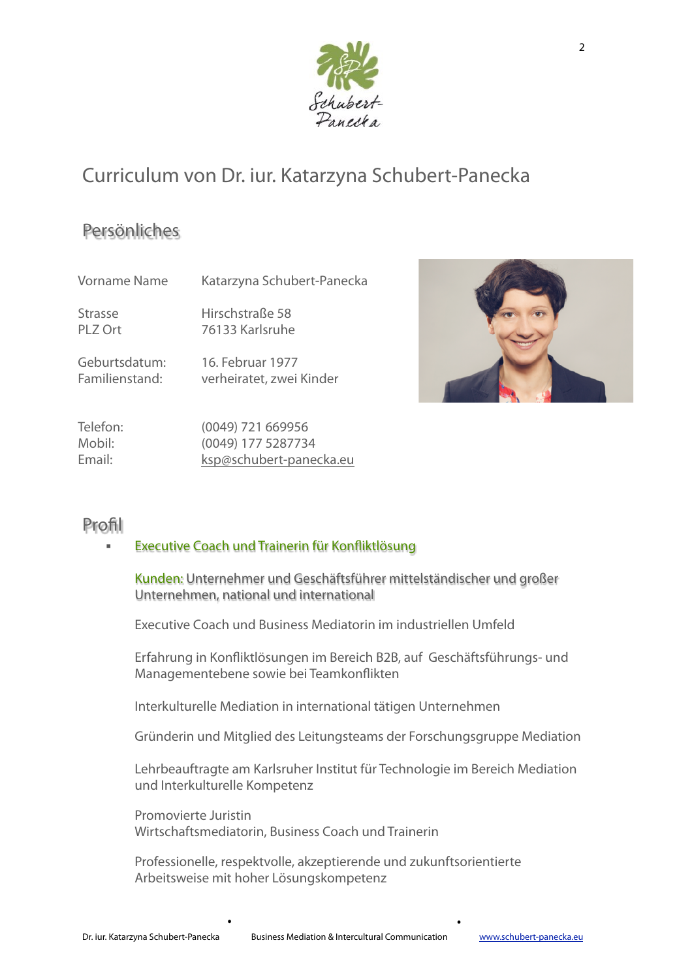

# Curriculum von Dr. iur. Katarzyna Schubert-Panecka

### Persönliches

Vorname Name Katarzyna Schubert-Panecka

Strasse Hirschstraße 58 PLZ Ort 76133 Karlsruhe

Geburtsdatum: 16. Februar 1977 Familienstand: verheiratet, zwei Kinder



Telefon: (0049) 721 669956 Mobil: (0049) 177 5287734 Email: [ksp@schubert-panecka.eu](mailto:ksp@schubert-panecka.eu)

### Profil

### ! Executive Coach und Trainerin für Konfiktlösung

Kunden: Unternehmer und Geschäftsführer mittelständischer und großer Unternehmen, national und international

Executive Coach und Business Mediatorin im industriellen Umfeld

Erfahrung in Konfiktlösungen im Bereich B2B, auf Geschäftsführungs- und Managementebene sowie bei Teamkonfikten

Interkulturelle Mediation in international tätigen Unternehmen

Gründerin und Mitglied des Leitungsteams der Forschungsgruppe Mediation

Lehrbeauftragte am Karlsruher Institut für Technologie im Bereich Mediation und Interkulturelle Kompetenz

Promovierte Juristin Wirtschaftsmediatorin, Business Coach und Trainerin

Professionelle, respektvolle, akzeptierende und zukunftsorientierte Arbeitsweise mit hoher Lösungskompetenz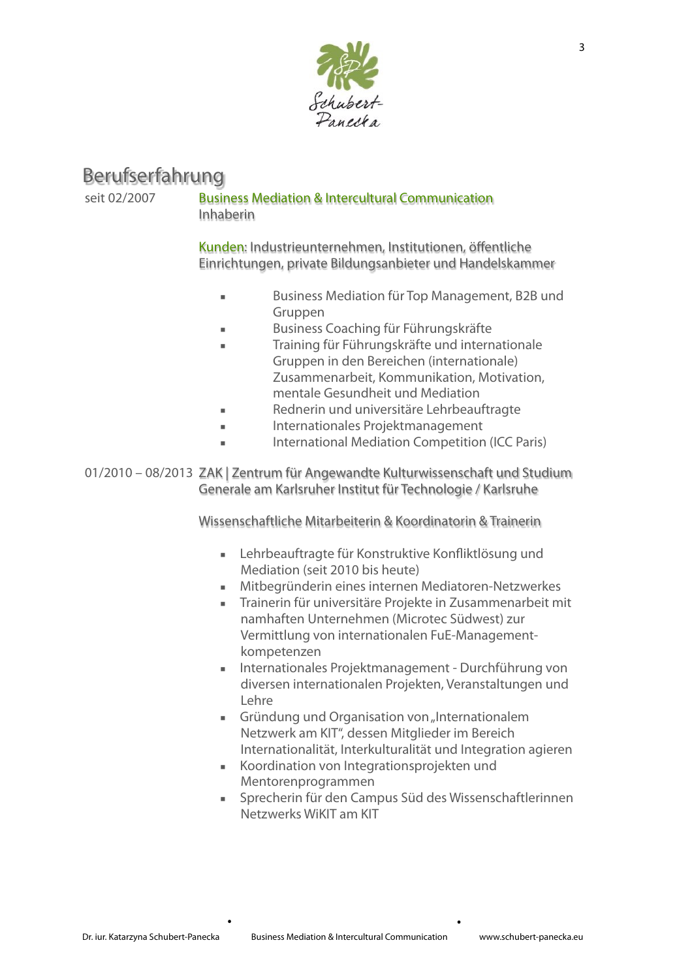

### Berufserfahrung

### seit 02/2007 Business Mediation & Intercultural Communication Inhaberin

Kunden: Industrieunternehmen, Institutionen, öffentliche Einrichtungen, private Bildungsanbieter und Handelskammer

- ! Business Mediation für Top Management, B2B und Gruppen
- ! Business Coaching für Führungskräfte
- ! Training für Führungskräfte und internationale Gruppen in den Bereichen (internationale) Zusammenarbeit, Kommunikation, Motivation, mentale Gesundheit und Mediation
- ! Rednerin und universitäre Lehrbeauftragte
- ! Internationales Projektmanagement
- International Mediation Competition (ICC Paris)

01/2010 – 08/2013 ZAK | Zentrum für Angewandte Kulturwissenschaft und Studium Generale am Karlsruher Institut für Technologie / Karlsruhe

Wissenschaftliche Mitarbeiterin & Koordinatorin & Trainerin

- ! Lehrbeauftragte für Konstruktive Konfiktlösung und Mediation (seit 2010 bis heute)
- ! Mitbegründerin eines internen Mediatoren-Netzwerkes
- ! Trainerin für universitäre Projekte in Zusammenarbeit mit namhaften Unternehmen (Microtec Südwest) zur Vermittlung von internationalen FuE-Managementkompetenzen
- ! Internationales Projektmanagement Durchführung von diversen internationalen Projekten, Veranstaltungen und Lehre
- **EXECT** Gründung und Organisation von "Internationalem Netzwerk am KIT", dessen Mitglieder im Bereich Internationalität, Interkulturalität und Integration agieren
- ! Koordination von Integrationsprojekten und Mentorenprogrammen
- ! Sprecherin für den Campus Süd des Wissenschaftlerinnen Netzwerks WiKIT am KIT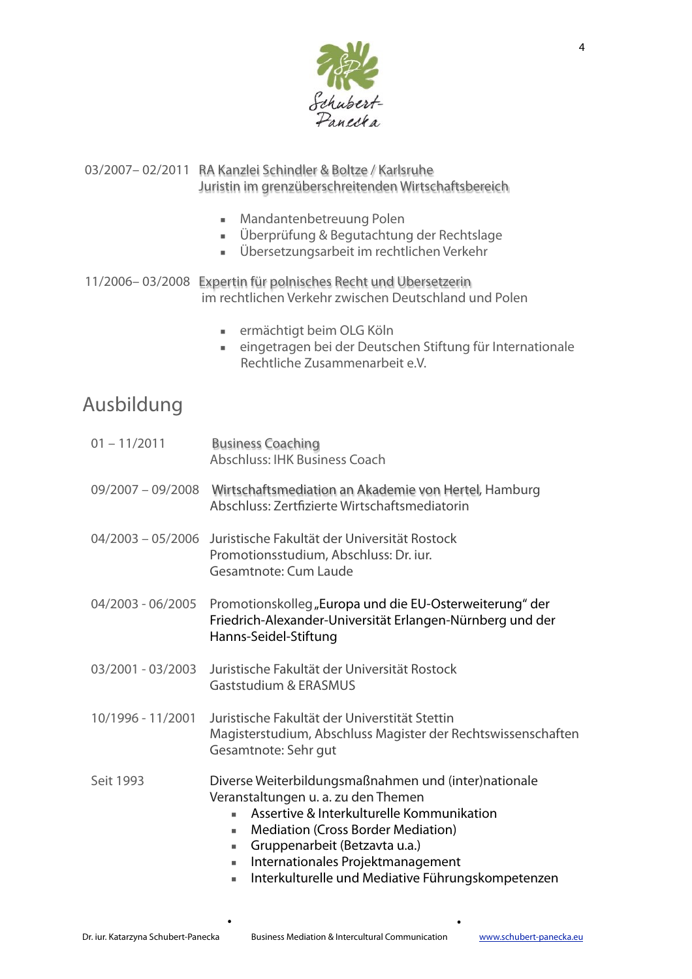

### 03/2007– 02/2011 RA Kanzlei Schindler & Boltze / Karlsruhe Juristin im grenzüberschreitenden Wirtschaftsbereich

- ! Mandantenbetreuung Polen
- ! Überprüfung & Begutachtung der Rechtslage
- ! Übersetzungsarbeit im rechtlichen Verkehr

11/2006– 03/2008 Expertin für polnisches Recht und Übersetzerin im rechtlichen Verkehr zwischen Deutschland und Polen

- ! ermächtigt beim OLG Köln
- ! eingetragen bei der Deutschen Stiftung für Internationale Rechtliche Zusammenarbeit e.V.

### Ausbildung

| $01 - 11/2011$    | <b>Business Coaching</b><br><b>Abschluss: IHK Business Coach</b>                                                                                                                                                                                                                                                                       |  |
|-------------------|----------------------------------------------------------------------------------------------------------------------------------------------------------------------------------------------------------------------------------------------------------------------------------------------------------------------------------------|--|
|                   | 09/2007 - 09/2008 Wirtschaftsmediation an Akademie von Hertel, Hamburg<br>Abschluss: Zertfizierte Wirtschaftsmediatorin                                                                                                                                                                                                                |  |
|                   | 04/2003 - 05/2006 Juristische Fakultät der Universität Rostock<br>Promotionsstudium, Abschluss: Dr. iur.<br>Gesamtnote: Cum Laude                                                                                                                                                                                                      |  |
| 04/2003 - 06/2005 | Promotionskolleg "Europa und die EU-Osterweiterung" der<br>Friedrich-Alexander-Universität Erlangen-Nürnberg und der<br>Hanns-Seidel-Stiftung                                                                                                                                                                                          |  |
| 03/2001 - 03/2003 | Juristische Fakultät der Universität Rostock<br><b>Gaststudium &amp; ERASMUS</b>                                                                                                                                                                                                                                                       |  |
| 10/1996 - 11/2001 | Juristische Fakultät der Universtität Stettin<br>Magisterstudium, Abschluss Magister der Rechtswissenschaften<br>Gesamtnote: Sehr gut                                                                                                                                                                                                  |  |
| Seit 1993         | Diverse Weiterbildungsmaßnahmen und (inter)nationale<br>Veranstaltungen u. a. zu den Themen<br>Assertive & Interkulturelle Kommunikation<br><b>Mediation (Cross Border Mediation)</b><br>٠<br>Gruppenarbeit (Betzavta u.a.)<br>a.<br>Internationales Projektmanagement<br>D.<br>Interkulturelle und Mediative Führungskompetenzen<br>٠ |  |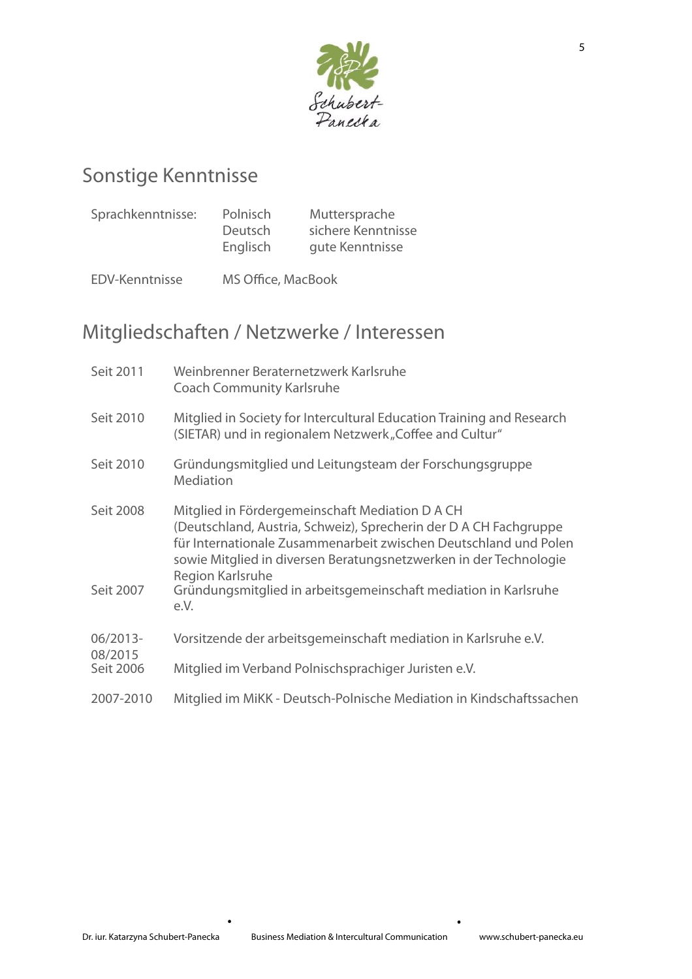

# Sonstige Kenntnisse

| Sprachkenntnisse: | Polnisch | Muttersprache      |
|-------------------|----------|--------------------|
|                   | Deutsch  | sichere Kenntnisse |
|                   | Englisch | gute Kenntnisse    |

EDV-Kenntnisse MS Office, MacBook

# Mitgliedschaften / Netzwerke / Interessen

| Seit 2011                        | Weinbrenner Beraternetzwerk Karlsruhe<br><b>Coach Community Karlsruhe</b>                                                                                                                                                                                                                                                                                           |
|----------------------------------|---------------------------------------------------------------------------------------------------------------------------------------------------------------------------------------------------------------------------------------------------------------------------------------------------------------------------------------------------------------------|
| Seit 2010                        | Mitglied in Society for Intercultural Education Training and Research<br>(SIETAR) und in regionalem Netzwerk "Coffee and Cultur"                                                                                                                                                                                                                                    |
| Seit 2010                        | Gründungsmitglied und Leitungsteam der Forschungsgruppe<br>Mediation                                                                                                                                                                                                                                                                                                |
| Seit 2008<br>Seit 2007           | Mitglied in Fördergemeinschaft Mediation D A CH<br>(Deutschland, Austria, Schweiz), Sprecherin der D A CH Fachgruppe<br>für Internationale Zusammenarbeit zwischen Deutschland und Polen<br>sowie Mitglied in diversen Beratungsnetzwerken in der Technologie<br><b>Region Karlsruhe</b><br>Gründungsmitglied in arbeitsgemeinschaft mediation in Karlsruhe<br>e.V. |
| 06/2013-<br>08/2015<br>Seit 2006 | Vorsitzende der arbeitsgemeinschaft mediation in Karlsruhe e.V.                                                                                                                                                                                                                                                                                                     |
|                                  | Mitglied im Verband Polnischsprachiger Juristen e.V.                                                                                                                                                                                                                                                                                                                |
| 2007-2010                        | Mitglied im MiKK - Deutsch-Polnische Mediation in Kindschaftssachen                                                                                                                                                                                                                                                                                                 |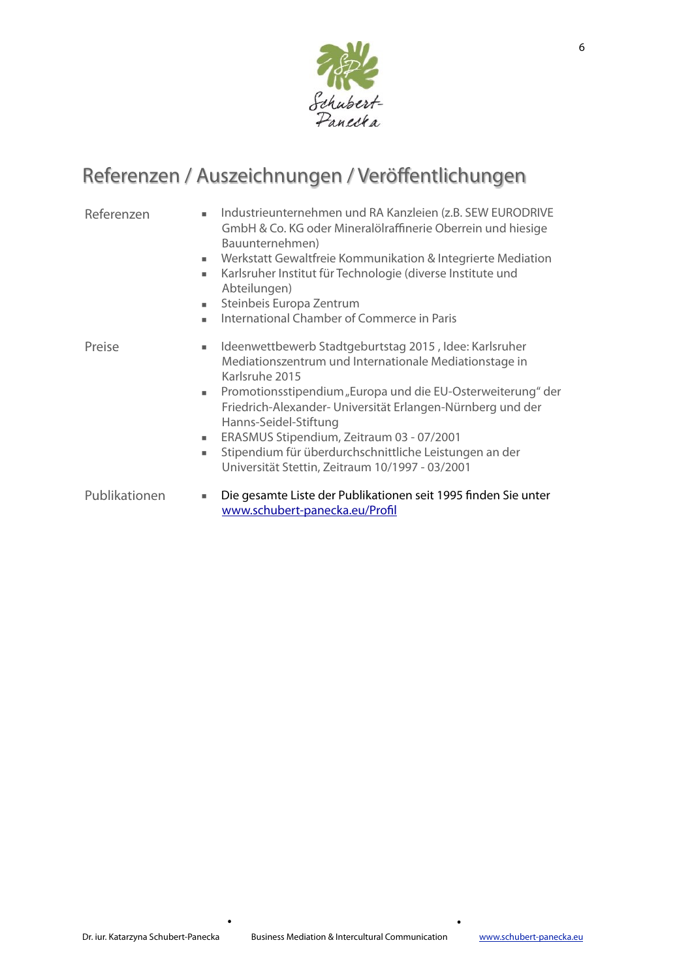

# Referenzen / Auszeichnungen / Veröffentlichungen

- Referenzen · Industrieunternehmen und RA Kanzleien (z.B. SEW EURODRIVE GmbH & Co. KG oder Mineralölraffinerie Oberrein und hiesige Bauunternehmen)
	- ! Werkstatt Gewaltfreie Kommunikation & Integrierte Mediation
	- ! Karlsruher Institut für Technologie (diverse Institute und Abteilungen)
	- ! Steinbeis Europa Zentrum
	- ! International Chamber of Commerce in Paris

- Preise **In Immunity Interpretent Interpretent Interpretent Interpretent Interpretent Interpretent Interpretent** Mediationszentrum und Internationale Mediationstage in Karlsruhe 2015
	- ! Promotionsstipendium "Europa und die EU-Osterweiterung" der Friedrich-Alexander- Universität Erlangen-Nürnberg und der Hanns-Seidel-Stiftung
	- ! ERASMUS Stipendium, Zeitraum 03 07/2001
	- ! Stipendium für überdurchschnittliche Leistungen an der Universität Stettin, Zeitraum 10/1997 - 03/2001
- Publikationen = Die gesamte Liste der Publikationen seit 1995 finden Sie unter [www.schubert-panecka.eu/Pro](http://www.schubert-panecka.eu/Profil)fl